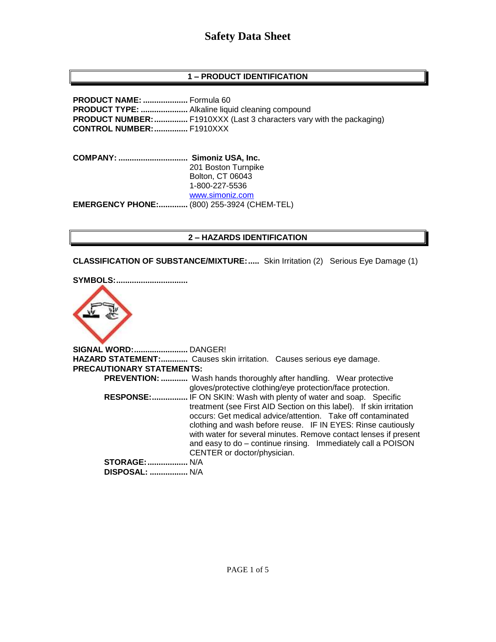### **1 – PRODUCT IDENTIFICATION**

**PRODUCT NAME: ....................** Formula 60 **PRODUCT TYPE: .....................** Alkaline liquid cleaning compound **PRODUCT NUMBER:...............** F1910XXX (Last 3 characters vary with the packaging) **CONTROL NUMBER:...............** F1910XXX

**COMPANY: ............................... Simoniz USA, Inc.** 201 Boston Turnpike Bolton, CT 06043 1-800-227-5536 [www.simoniz.com](http://www.simoniz.com/) **EMERGENCY PHONE:.............** (800) 255-3924 (CHEM-TEL)

#### **2 – HAZARDS IDENTIFICATION**

**CLASSIFICATION OF SUBSTANCE/MIXTURE:.....** Skin Irritation (2) Serious Eye Damage (1)

#### **SYMBOLS:................................**



**SIGNAL WORD:........................** DANGER! **HAZARD STATEMENT:............** Causes skin irritation. Causes serious eye damage. **PRECAUTIONARY STATEMENTS: PREVENTION: ............** Wash hands thoroughly after handling. Wear protective gloves/protective clothing/eye protection/face protection.  **RESPONSE:................** IF ON SKIN: Wash with plenty of water and soap. Specific treatment (see First AID Section on this label). If skin irritation occurs: Get medical advice/attention. Take off contaminated clothing and wash before reuse. IF IN EYES: Rinse cautiously with water for several minutes. Remove contact lenses if present and easy to do – continue rinsing. Immediately call a POISON CENTER or doctor/physician. **STORAGE:..................** N/A  **DISPOSAL: .................** N/A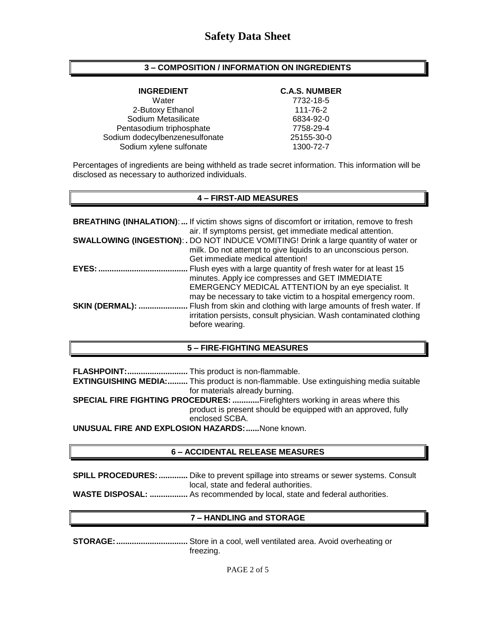#### **3 – COMPOSITION / INFORMATION ON INGREDIENTS**

Water 7732-18-5 2-Butoxy Ethanol 111-76-2 Sodium Metasilicate 6834-92-0 Pentasodium triphosphate 7758-29-4 Sodium dodecylbenzenesulfonate 25155-30-0 Sodium xylene sulfonate 1300-72-7

#### **INGREDIENT C.A.S. NUMBER**

Percentages of ingredients are being withheld as trade secret information. This information will be disclosed as necessary to authorized individuals.

#### **4 – FIRST-AID MEASURES**

|                        | <b>BREATHING (INHALATION):</b> If victim shows signs of discomfort or irritation, remove to fresh<br>air. If symptoms persist, get immediate medical attention.                                                                             |
|------------------------|---------------------------------------------------------------------------------------------------------------------------------------------------------------------------------------------------------------------------------------------|
|                        | <b>SWALLOWING (INGESTION): .</b> DO NOT INDUCE VOMITING! Drink a large quantity of water or<br>milk. Do not attempt to give liquids to an unconscious person.<br>Get immediate medical attention!                                           |
| $EYES:$                | Flush eyes with a large quantity of fresh water for at least 15<br>minutes. Apply ice compresses and GET IMMEDIATE<br>EMERGENCY MEDICAL ATTENTION by an eye specialist. It<br>may be necessary to take victim to a hospital emergency room. |
| <b>SKIN (DERMAL): </b> | Flush from skin and clothing with large amounts of fresh water. If<br>irritation persists, consult physician. Wash contaminated clothing<br>before wearing.                                                                                 |

#### **5 – FIRE-FIGHTING MEASURES**

**FLASHPOINT:...........................** This product is non-flammable.

**EXTINGUISHING MEDIA:.........** This product is non-flammable. Use extinguishing media suitable for materials already burning.

**SPECIAL FIRE FIGHTING PROCEDURES: ............**Firefighters working in areas where this product is present should be equipped with an approved, fully enclosed SCBA.

**UNUSUAL FIRE AND EXPLOSION HAZARDS:......**None known.

#### **6 – ACCIDENTAL RELEASE MEASURES**

**SPILL PROCEDURES:.............** Dike to prevent spillage into streams or sewer systems. Consult local, state and federal authorities.

**WASTE DISPOSAL: .................** As recommended by local, state and federal authorities.

### **7 – HANDLING and STORAGE**

**STORAGE:................................** Store in a cool, well ventilated area. Avoid overheating or freezing.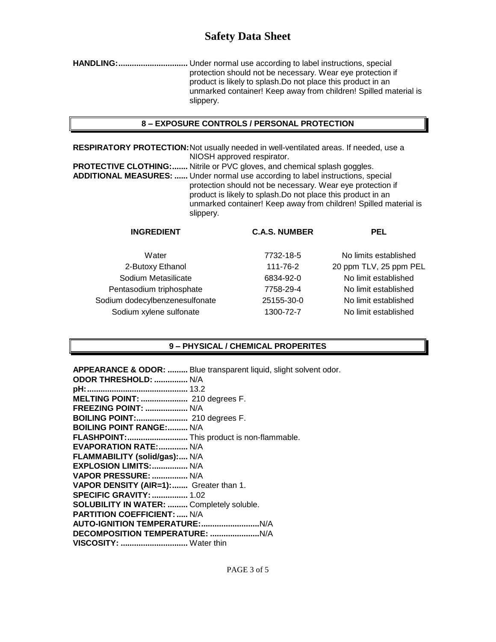**HANDLING:...............................** Under normal use according to label instructions, special protection should not be necessary. Wear eye protection if product is likely to splash.Do not place this product in an unmarked container! Keep away from children! Spilled material is slippery.

#### **8 – EXPOSURE CONTROLS / PERSONAL PROTECTION**

**RESPIRATORY PROTECTION:**Not usually needed in well-ventilated areas. If needed, use a NIOSH approved respirator.

**PROTECTIVE CLOTHING:.......** Nitrile or PVC gloves, and chemical splash goggles. **ADDITIONAL MEASURES: ......** Under normal use according to label instructions, special protection should not be necessary. Wear eye protection if product is likely to splash.Do not place this product in an unmarked container! Keep away from children! Spilled material is slippery.

| <b>INGREDIENT</b>              | <b>C.A.S. NUMBER</b> | <b>PEL</b>             |
|--------------------------------|----------------------|------------------------|
| Water                          | 7732-18-5            | No limits established  |
| 2-Butoxy Ethanol               | 111-76-2             | 20 ppm TLV, 25 ppm PEL |
| Sodium Metasilicate            | 6834-92-0            | No limit established   |
| Pentasodium triphosphate       | 7758-29-4            | No limit established   |
| Sodium dodecylbenzenesulfonate | 25155-30-0           | No limit established   |
| Sodium xylene sulfonate        | 1300-72-7            | No limit established   |

### **9 – PHYSICAL / CHEMICAL PROPERITES**

**APPEARANCE & ODOR: .........** Blue transparent liquid, slight solvent odor.

| <b>ODOR THRESHOLD:  N/A</b>                |
|--------------------------------------------|
|                                            |
| MELTING POINT:  210 degrees F.             |
| <b>FREEZING POINT:  N/A</b>                |
| BOILING POINT: 210 degrees F.              |
| <b>BOILING POINT RANGE: N/A</b>            |
| FLASHPOINT: This product is non-flammable. |
| <b>EVAPORATION RATE: N/A</b>               |
| FLAMMABILITY (solid/gas): N/A              |
| EXPLOSION LIMITS:  N/A                     |
| VAPOR PRESSURE:  N/A                       |
| VAPOR DENSITY (AIR=1): Greater than 1.     |
| <b>SPECIFIC GRAVITY:  1.02</b>             |
| SOLUBILITY IN WATER:  Completely soluble.  |
| <b>PARTITION COEFFICIENT:  N/A</b>         |
|                                            |
|                                            |
| VISCOSITY:  Water thin                     |
|                                            |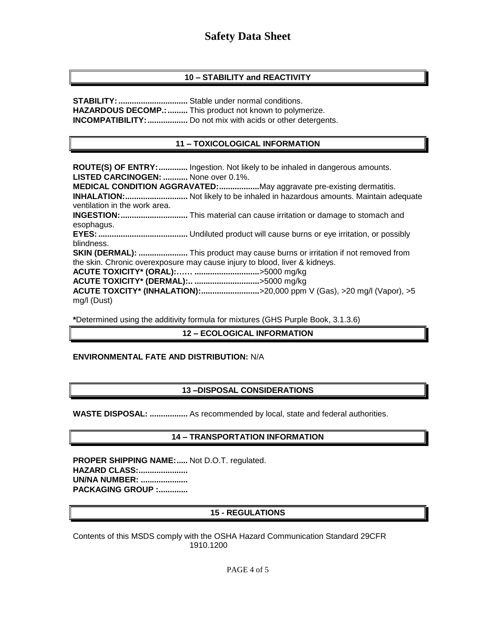#### **10 – STABILITY and REACTIVITY**

**STABILITY:...............................** Stable under normal conditions. **HAZARDOUS DECOMP.: .........** This product not known to polymerize. **INCOMPATIBILITY:..................** Do not mix with acids or other detergents.

#### **11 – TOXICOLOGICAL INFORMATION**

**ROUTE(S) OF ENTRY:.............** Ingestion. Not likely to be inhaled in dangerous amounts. **LISTED CARCINOGEN: ...........** None over 0.1%. **MEDICAL CONDITION AGGRAVATED:..................**May aggravate pre-existing dermatitis. **INHALATION:............................** Not likely to be inhaled in hazardous amounts. Maintain adequate ventilation in the work area. **INGESTION:..............................** This material can cause irritation or damage to stomach and esophagus. **EYES:........................................** Undiluted product will cause burns or eye irritation, or possibly blindness. **SKIN (DERMAL): ......................** This product may cause burns or irritation if not removed from the skin. Chronic overexposure may cause injury to blood, liver & kidneys. **ACUTE TOXICITY\* (ORAL):…… .............................**>5000 mg/kg **ACUTE TOXICITY\* (DERMAL):.. .............................**>5000 mg/kg **ACUTE TOXCITY\* (INHALATION):..........................**>20,000 ppm V (Gas), >20 mg/l (Vapor), >5 mg/l (Dust)

**\***Determined using the additivity formula for mixtures (GHS Purple Book, 3.1.3.6)

#### **12 – ECOLOGICAL INFORMATION**

#### **ENVIRONMENTAL FATE AND DISTRIBUTION:** N/A

#### **13 –DISPOSAL CONSIDERATIONS**

**WASTE DISPOSAL: .................** As recommended by local, state and federal authorities.

#### **14 – TRANSPORTATION INFORMATION**

**PROPER SHIPPING NAME:.....** Not D.O.T. regulated. **HAZARD CLASS:...................... UN/NA NUMBER: ..................... PACKAGING GROUP :.............**

#### **15 - REGULATIONS**

Contents of this MSDS comply with the OSHA Hazard Communication Standard 29CFR 1910.1200

PAGE 4 of 5